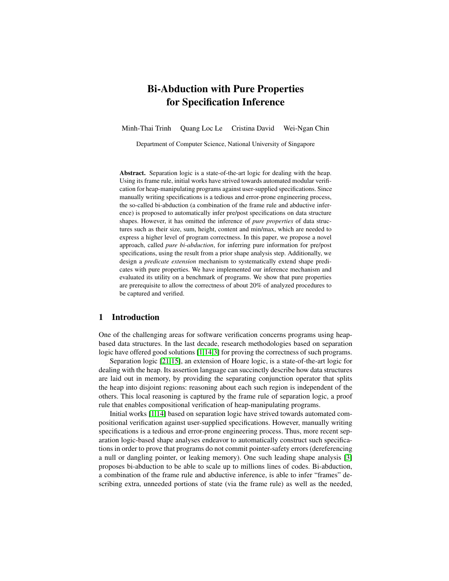# Bi-Abduction with Pure Properties for Specification Inference

Minh-Thai Trinh Quang Loc Le Cristina David Wei-Ngan Chin

Department of Computer Science, National University of Singapore

Abstract. Separation logic is a state-of-the-art logic for dealing with the heap. Using its frame rule, initial works have strived towards automated modular verification for heap-manipulating programs against user-supplied specifications. Since manually writing specifications is a tedious and error-prone engineering process, the so-called bi-abduction (a combination of the frame rule and abductive inference) is proposed to automatically infer pre/post specifications on data structure shapes. However, it has omitted the inference of *pure properties* of data structures such as their size, sum, height, content and min/max, which are needed to express a higher level of program correctness. In this paper, we propose a novel approach, called *pure bi-abduction*, for inferring pure information for pre/post specifications, using the result from a prior shape analysis step. Additionally, we design a *predicate extension* mechanism to systematically extend shape predicates with pure properties. We have implemented our inference mechanism and evaluated its utility on a benchmark of programs. We show that pure properties are prerequisite to allow the correctness of about 20% of analyzed procedures to be captured and verified.

#### 1 Introduction

One of the challenging areas for software verification concerns programs using heapbased data structures. In the last decade, research methodologies based on separation logic have offered good solutions [\[1](#page-16-0)[,14](#page-16-1)[,3\]](#page-16-2) for proving the correctness of such programs.

Separation logic [\[21](#page-17-0)[,15\]](#page-16-3), an extension of Hoare logic, is a state-of-the-art logic for dealing with the heap. Its assertion language can succinctly describe how data structures are laid out in memory, by providing the separating conjunction operator that splits the heap into disjoint regions: reasoning about each such region is independent of the others. This local reasoning is captured by the frame rule of separation logic, a proof rule that enables compositional verification of heap-manipulating programs.

Initial works [\[1](#page-16-0)[,14\]](#page-16-1) based on separation logic have strived towards automated compositional verification against user-supplied specifications. However, manually writing specifications is a tedious and error-prone engineering process. Thus, more recent separation logic-based shape analyses endeavor to automatically construct such specifications in order to prove that programs do not commit pointer-safety errors (dereferencing a null or dangling pointer, or leaking memory). One such leading shape analysis [\[3\]](#page-16-2) proposes bi-abduction to be able to scale up to millions lines of codes. Bi-abduction, a combination of the frame rule and abductive inference, is able to infer "frames" describing extra, unneeded portions of state (via the frame rule) as well as the needed,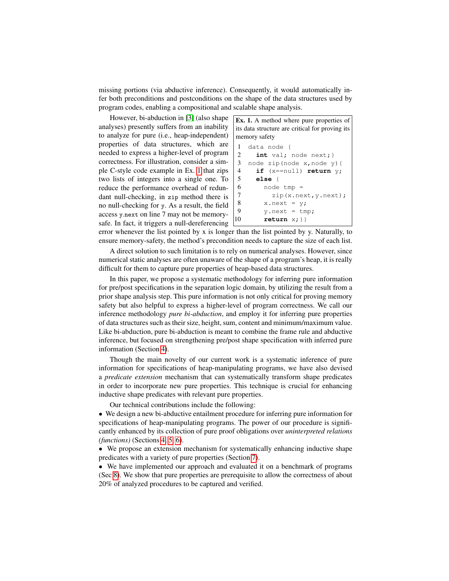missing portions (via abductive inference). Consequently, it would automatically infer both preconditions and postconditions on the shape of the data structures used by program codes, enabling a compositional and scalable shape analysis.

However, bi-abduction in [\[3\]](#page-16-2) (also shape analyses) presently suffers from an inability to analyze for pure (i.e., heap-independent) properties of data structures, which are needed to express a higher-level of program correctness. For illustration, consider a simple C-style code example in Ex. [1](#page-1-0) that zips two lists of integers into a single one. To reduce the performance overhead of redundant null-checking, in zip method there is no null-checking for y. As a result, the field access y.next on line 7 may not be memorysafe. In fact, it triggers a null-dereferencing

<span id="page-1-0"></span>

error whenever the list pointed by x is longer than the list pointed by y. Naturally, to ensure memory-safety, the method's precondition needs to capture the size of each list.

A direct solution to such limitation is to rely on numerical analyses. However, since numerical static analyses are often unaware of the shape of a program's heap, it is really difficult for them to capture pure properties of heap-based data structures.

In this paper, we propose a systematic methodology for inferring pure information for pre/post specifications in the separation logic domain, by utilizing the result from a prior shape analysis step. This pure information is not only critical for proving memory safety but also helpful to express a higher-level of program correctness. We call our inference methodology *pure bi-abduction*, and employ it for inferring pure properties of data structures such as their size, height, sum, content and minimum/maximum value. Like bi-abduction, pure bi-abduction is meant to combine the frame rule and abductive inference, but focused on strengthening pre/post shape specification with inferred pure information (Section [4\)](#page-4-0).

Though the main novelty of our current work is a systematic inference of pure information for specifications of heap-manipulating programs, we have also devised a *predicate extension* mechanism that can systematically transform shape predicates in order to incorporate new pure properties. This technique is crucial for enhancing inductive shape predicates with relevant pure properties.

Our technical contributions include the following:

• We design a new bi-abductive entailment procedure for inferring pure information for specifications of heap-manipulating programs. The power of our procedure is significantly enhanced by its collection of pure proof obligations over *uninterpreted relations (functions)* (Sections [4,](#page-4-0) [5,](#page-6-0) [6\)](#page-8-0).

• We propose an extension mechanism for systematically enhancing inductive shape predicates with a variety of pure properties (Section [7\)](#page-10-0).

• We have implemented our approach and evaluated it on a benchmark of programs (Sec [8\)](#page-13-0). We show that pure properties are prerequisite to allow the correctness of about 20% of analyzed procedures to be captured and verified.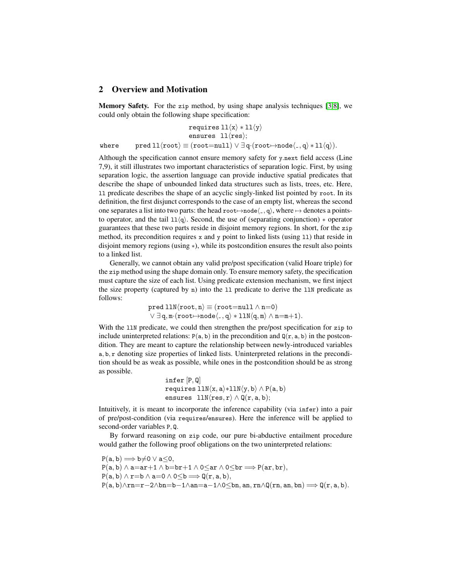### <span id="page-2-0"></span>2 Overview and Motivation

Memory Safety. For the zip method, by using shape analysis techniques [\[3,](#page-16-2)[8\]](#page-16-4), we could only obtain the following shape specification:

$$
\begin{array}{rcl}\n & \texttt{requires } 11 \langle x \rangle * 11 \langle y \rangle \\
 & \texttt{ensures } 11 \langle \texttt{res} \rangle; \\
 & \texttt{where} & \texttt{pred } 11 \langle \texttt{root} \rangle \equiv (\texttt{root} = \texttt{null}) \vee \exists \, q \cdot (\texttt{root} \rightarrow \texttt{node} \langle \_ , q \rangle * 11 \langle q \rangle). \n\end{array}
$$

Although the specification cannot ensure memory safety for y.next field access (Line 7,9), it still illustrates two important characteristics of separation logic. First, by using separation logic, the assertion language can provide inductive spatial predicates that describe the shape of unbounded linked data structures such as lists, trees, etc. Here, ll predicate describes the shape of an acyclic singly-linked list pointed by root. In its definition, the first disjunct corresponds to the case of an empty list, whereas the second one separates a list into two parts: the head root $\mapsto$ node $\langle \cdot, q \rangle$ , where  $\mapsto$  denotes a pointsto operator, and the tail  $11\langle q \rangle$ . Second, the use of (separating conjunction)  $*$  operator guarantees that these two parts reside in disjoint memory regions. In short, for the zip method, its precondition requires  $x$  and  $y$  point to linked lists (using 11) that reside in disjoint memory regions (using ∗), while its postcondition ensures the result also points to a linked list.

Generally, we cannot obtain any valid pre/post specification (valid Hoare triple) for the zip method using the shape domain only. To ensure memory safety, the specification must capture the size of each list. Using predicate extension mechanism, we first inject the size property (captured by n) into the 11 predicate to derive the 11N predicate as follows:

> $pred$  llN $\langle root, n \rangle \equiv (root = null \land n=0)$  $\overline{\vee}$   $\exists$  q, m $\cdot$  (root $\mapsto$ node $\langle$ , q $\rangle *$  llN $\langle$ q, m $\rangle \wedge$  n=m+1).

With the 11N predicate, we could then strengthen the pre/post specification for zip to include uninterpreted relations:  $P(a, b)$  in the precondition and  $Q(r, a, b)$  in the postcondition. They are meant to capture the relationship between newly-introduced variables a, b, r denoting size properties of linked lists. Uninterpreted relations in the precondition should be as weak as possible, while ones in the postcondition should be as strong as possible.

> infer [P, Q] requires  $11N\langle x, a\rangle *11N\langle y, b\rangle \wedge P(a, b)$ ensures  $11N{\langle res, r \rangle} \wedge Q(r, a, b);$

Intuitively, it is meant to incorporate the inference capability (via infer) into a pair of pre/post-condition (via requires/ensures). Here the inference will be applied to second-order variables P, Q.

By forward reasoning on zip code, our pure bi-abductive entailment procedure would gather the following proof obligations on the two uninterpreted relations:

 $P(a, b) \Longrightarrow b \neq 0 \lor a \leq 0$ ,  $P(a, b) \wedge a = ar + 1 \wedge b = br + 1 \wedge 0 \le ar \wedge 0 \le br \Longrightarrow P(ar, br),$  $P(a, b) \wedge r = b \wedge a = 0 \wedge 0 \leq b \Longrightarrow Q(r, a, b),$  $P(a, b) \wedge rn = r-2 \wedge bn = b-1 \wedge an = a-1 \wedge 0 \leq bn$ , an,  $rn \wedge Q(rn, an, bn) \Longrightarrow Q(r, a, b)$ .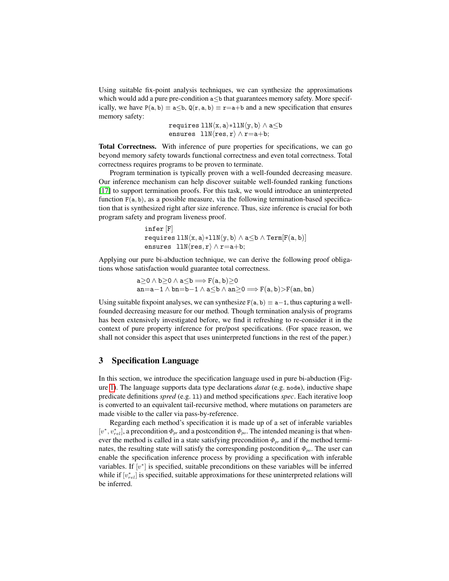Using suitable fix-point analysis techniques, we can synthesize the approximations which would add a pure pre-condition  $a \leq b$  that guarantees memory safety. More specifically, we have  $P(a, b) \equiv a \leq b$ ,  $Q(r, a, b) \equiv r = a + b$  and a new specification that ensures memory safety:

> requires  $\text{llN}(x, a) * \text{llN}(y, b) \wedge a \leq b$ ensures  $11N(res, r \wedge r=a+b;$

Total Correctness. With inference of pure properties for specifications, we can go beyond memory safety towards functional correctness and even total correctness. Total correctness requires programs to be proven to terminate.

Program termination is typically proven with a well-founded decreasing measure. Our inference mechanism can help discover suitable well-founded ranking functions [\[17\]](#page-16-5) to support termination proofs. For this task, we would introduce an uninterpreted function  $F(a, b)$ , as a possible measure, via the following termination-based specification that is synthesized right after size inference. Thus, size inference is crucial for both program safety and program liveness proof.

```
infer [F]
requires \text{llm}(x, a) * \text{llm}(y, b) \wedge a \leq b \wedge \text{Term}[F(a, b)]ensures 11N(res, r \wedge r=a+b;
```
Applying our pure bi-abduction technique, we can derive the following proof obligations whose satisfaction would guarantee total correctness.

> $a>0 \land b>0 \land a \leq b \Longrightarrow F(a, b)>0$ an=a−1  $\land$  bn=b−1  $\land$  a  $\lt$ b  $\land$  an  $\gt$ 0  $\Longrightarrow$  F(a, b)  $\gt$ F(an, bn)

Using suitable fixpoint analyses, we can synthesize  $F(a, b) \equiv a-1$ , thus capturing a wellfounded decreasing measure for our method. Though termination analysis of programs has been extensively investigated before, we find it refreshing to re-consider it in the context of pure property inference for pre/post specifications. (For space reason, we shall not consider this aspect that uses uninterpreted functions in the rest of the paper.)

### 3 Specification Language

In this section, we introduce the specification language used in pure bi-abduction (Figure [1\)](#page-4-1). The language supports data type declarations *datat* (e.g. node), inductive shape predicate definitions *spred* (e.g. 11) and method specifications *spec*. Each iterative loop is converted to an equivalent tail-recursive method, where mutations on parameters are made visible to the caller via pass-by-reference.

Regarding each method's specification it is made up of a set of inferable variables [v<sup>\*</sup>, v<sub>rel</sub>], a precondition  $Φ_{pr}$  and a postcondition  $Φ_{po}$ . The intended meaning is that whenever the method is called in a state satisfying precondition  $\Phi_{pr}$  and if the method terminates, the resulting state will satisfy the corresponding postcondition  $\Phi_{po}$ . The user can enable the specification inference process by providing a specification with inferable variables. If  $[v^*]$  is specified, suitable preconditions on these variables will be inferred while if  $[v_{rel}^*]$  is specified, suitable approximations for these uninterpreted relations will be inferred.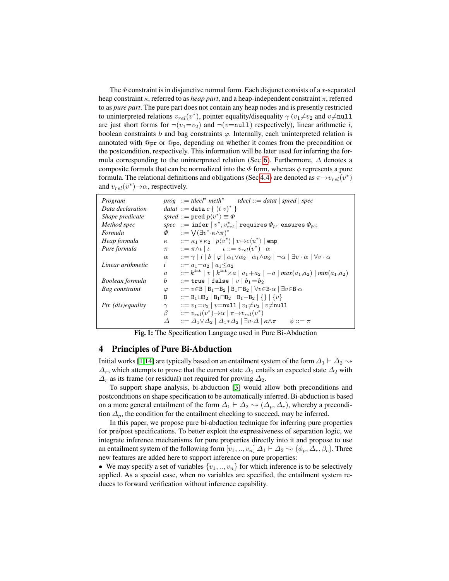The  $\Phi$  constraint is in disjunctive normal form. Each disjunct consists of a  $*$ -separated heap constraint κ, referred to as *heap part*, and a heap-independent constraint π, referred to as *pure part*. The pure part does not contain any heap nodes and is presently restricted to uninterpreted relations  $v_{rel}(v^*)$ , pointer equality/disequality  $\gamma(v_1 \neq v_2$  and  $v \neq \text{null}$ are just short forms for  $\neg(v_1=v_2)$  and  $\neg(v=\text{null})$  respectively), linear arithmetic *i*, boolean constraints  $b$  and bag constraints  $\varphi$ . Internally, each uninterpreted relation is annotated with @pr or @po, depending on whether it comes from the precondition or the postcondition, respectively. This information will be later used for inferring the for-mula corresponding to the uninterpreted relation (Sec [6\)](#page-8-0). Furthermore,  $\Delta$  denotes a composite formula that can be normalized into the  $\Phi$  form, whereas  $\phi$  represents a pure formula. The relational definitions and obligations (Sec [4.4\)](#page-5-0) are denoted as  $\pi \rightarrow v_{rel}(v^*)$ and  $v_{rel}(v^*) \rightarrow \alpha$ , respectively.

<span id="page-4-1"></span>

| Program            |                  | $prog ::= tdecl^* meth^*$ tdecl::= datat   spred   spec                                                                                           |
|--------------------|------------------|---------------------------------------------------------------------------------------------------------------------------------------------------|
| Data declaration   |                  | datat ::= data $c \{ (tv)^* \}$                                                                                                                   |
| Shape predicate    |                  | spred ::= pred $p\langle v^* \rangle \equiv \Phi$                                                                                                 |
| Method spec        |                  | spec ::= infer $[v^*, v_{rel}^*]$ requires $\Phi_{pr}$ ensures $\Phi_{po}$ ;                                                                      |
| Formula            | $\Phi$           | $\therefore$ $\bigvee(\exists v^*\cdot\kappa\wedge\pi)^*$                                                                                         |
| Heap formula       |                  | $\kappa$ $\kappa = \kappa_1 * \kappa_2  p\langle v^* \rangle   v \mapsto c\langle u^* \rangle   \text{emp}$                                       |
| Pure formula       | $\pi$            | $\therefore = \pi \wedge \iota \mid \iota \qquad \iota ::= v_{rel}(v^*) \mid \alpha$                                                              |
|                    | $\alpha$         | $::=\gamma   i   b   \varphi   \alpha_1 \vee \alpha_2   \alpha_1 \wedge \alpha_2   \neg \alpha   \exists v \cdot \alpha   \forall v \cdot \alpha$ |
| Linear arithmetic  | $\dot{i}$        | $ ::= a_1 = a_2   a_1 \leq a_2$                                                                                                                   |
|                    | $\boldsymbol{a}$ | $\therefore = k^{\text{int}}  v  k^{\text{int}} \times a  a_1 + a_2  - a  max(a_1, a_2)  min(a_1, a_2)$                                           |
| Boolean formula    | b                | $ ::=$ true   false   $v   b_1 = b_2$                                                                                                             |
| Bag constraint     | $\varphi$        | $::= v \in B   B_1 = B_2   B_1 \sqsubset B_2   \forall v \in B \cdot \alpha   \exists v \in B \cdot \alpha$                                       |
|                    | B                | $ ::= B_1 \sqcup B_2   B_1 \sqcap B_2   B_1 - B_2   \{ \}   \{ v \}$                                                                              |
| Ptr. (dis)equality | $\gamma$         | $::= v_1 = v_2 \mid v = \text{null} \mid v_1 \neq v_2 \mid v \neq \text{null}$                                                                    |
|                    | β                | $::=v_{rel}(v^*)\rightarrow\alpha \pi\rightarrow v_{rel}(v^*)$                                                                                    |
|                    | Δ                | $\therefore = \Delta_1 \vee \Delta_2 \mid \Delta_1 * \Delta_2 \mid \exists v \cdot \Delta \mid \kappa \wedge \pi$ $\phi ::= \pi$                  |

Fig. 1: The Specification Language used in Pure Bi-Abduction

### <span id="page-4-0"></span>4 Principles of Pure Bi-Abduction

Initial works [\[1](#page-16-0)[,14\]](#page-16-1) are typically based on an entailment system of the form  $\Delta_1 \vdash \Delta_2 \leadsto$  $\Delta_r$ , which attempts to prove that the current state  $\Delta_1$  entails an expected state  $\Delta_2$  with  $\Delta_r$  as its frame (or residual) not required for proving  $\Delta_2$ .

To support shape analysis, bi-abduction [\[3\]](#page-16-2) would allow both preconditions and postconditions on shape specification to be automatically inferred. Bi-abduction is based on a more general entailment of the form  $\Delta_1 \vdash \Delta_2 \leadsto (\Delta_p, \Delta_r)$ , whereby a precondition  $\Delta_p$ , the condition for the entailment checking to succeed, may be inferred.

In this paper, we propose pure bi-abduction technique for inferring pure properties for pre/post specifications. To better exploit the expressiveness of separation logic, we integrate inference mechanisms for pure properties directly into it and propose to use an entailment system of the following form  $[v_1, ..., v_n]$   $\Delta_1 \vdash \Delta_2 \rightsquigarrow (\phi_p, \Delta_r, \beta_c)$ . Three new features are added here to support inference on pure properties:

• We may specify a set of variables  $\{v_1, \ldots, v_n\}$  for which inference is to be selectively applied. As a special case, when no variables are specified, the entailment system reduces to forward verification without inference capability.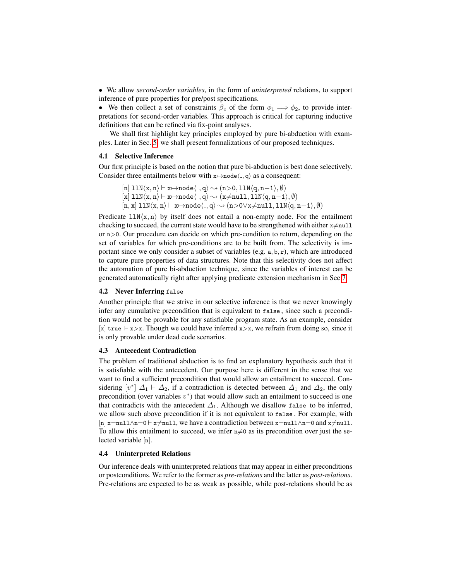• We allow *second-order variables*, in the form of *uninterpreted* relations, to support inference of pure properties for pre/post specifications.

• We then collect a set of constraints  $\beta_c$  of the form  $\phi_1 \Longrightarrow \phi_2$ , to provide interpretations for second-order variables. This approach is critical for capturing inductive definitions that can be refined via fix-point analyses.

We shall first highlight key principles employed by pure bi-abduction with examples. Later in Sec. [5,](#page-6-0) we shall present formalizations of our proposed techniques.

#### 4.1 Selective Inference

Our first principle is based on the notion that pure bi-abduction is best done selectively. Consider three entailments below with  $x \mapsto n$ ode $\langle \cdot, q \rangle$  as a consequent:

$$
\begin{array}{l} \left[n\right]11N\langle x,n\rangle\vdash x\!\!\mapsto\!\!node\langle.,q\rangle\!\rightsquigarrow\!\!(n\!\!>\!\!>0,11N\langle q,n\!-\!1\rangle,\emptyset)\\ \left[x\right]11N\langle x,n\rangle\vdash x\!\!\mapsto\!\!node\langle.,q\rangle\!\rightsquigarrow\!\!(x\!\!\neq\!\!null,11N\langle q,n\!-\!1\rangle,\emptyset)\\ \left[n,x\right]11N\langle x,n\rangle\vdash x\!\!\mapsto\!\!node\langle.,q\rangle\!\rightsquigarrow\!\!(n\!\!>\!\!>0\!\!>\!\forall x\!\!\neq\!\!null,11N\langle q,n\!-\!1\rangle,\emptyset)\end{array}
$$

Predicate  $11N\langle x, n \rangle$  by itself does not entail a non-empty node. For the entailment checking to succeed, the current state would have to be strengthened with either  $x\neq null$ or n>0. Our procedure can decide on which pre-condition to return, depending on the set of variables for which pre-conditions are to be built from. The selectivity is important since we only consider a subset of variables (e.g. a, b, r), which are introduced to capture pure properties of data structures. Note that this selectivity does not affect the automation of pure bi-abduction technique, since the variables of interest can be generated automatically right after applying predicate extension mechanism in Sec [7.](#page-10-0)

#### <span id="page-5-1"></span>4.2 Never Inferring false

Another principle that we strive in our selective inference is that we never knowingly infer any cumulative precondition that is equivalent to false , since such a precondition would not be provable for any satisfiable program state. As an example, consider [x] true  $\vdash x > x$ . Though we could have inferred  $x > x$ , we refrain from doing so, since it is only provable under dead code scenarios.

#### 4.3 Antecedent Contradiction

The problem of traditional abduction is to find an explanatory hypothesis such that it is satisfiable with the antecedent. Our purpose here is different in the sense that we want to find a sufficient precondition that would allow an entailment to succeed. Considering  $[v^*]$   $\Delta_1 \vdash \Delta_2$ , if a contradiction is detected between  $\Delta_1$  and  $\Delta_2$ , the only precondition (over variables  $v^*$ ) that would allow such an entailment to succeed is one that contradicts with the antecedent  $\Delta_1$ . Although we disallow false to be inferred, we allow such above precondition if it is not equivalent to false . For example, with  $[n]$  x=null∧n=0  $\vdash$  x≠null, we have a contradiction between x=null∧n=0 and x≠null. To allow this entailment to succeed, we infer  $n\neq 0$  as its precondition over just the selected variable [n].

#### <span id="page-5-0"></span>4.4 Uninterpreted Relations

Our inference deals with uninterpreted relations that may appear in either preconditions or postconditions. We refer to the former as *pre-relations* and the latter as *post-relations*. Pre-relations are expected to be as weak as possible, while post-relations should be as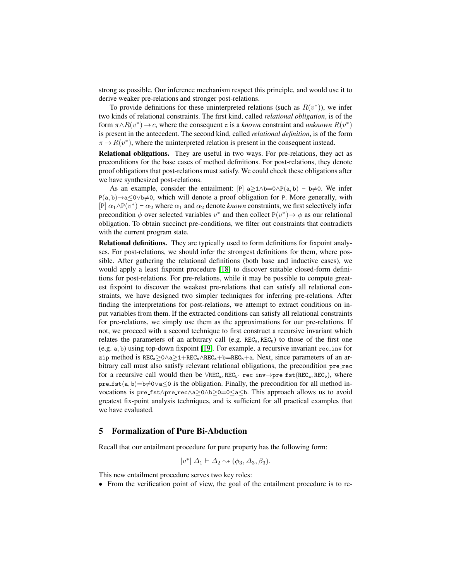strong as possible. Our inference mechanism respect this principle, and would use it to derive weaker pre-relations and stronger post-relations.

To provide definitions for these uninterpreted relations (such as  $R(v^*)$ ), we infer two kinds of relational constraints. The first kind, called *relational obligation*, is of the form  $\pi \wedge R(v^*) \to c$ , where the consequent c is a *known* constraint and *unknown*  $R(v^*)$ is present in the antecedent. The second kind, called *relational definition*, is of the form  $\pi \to R(v^*)$ , where the uninterpreted relation is present in the consequent instead.

Relational obligations. They are useful in two ways. For pre-relations, they act as preconditions for the base cases of method definitions. For post-relations, they denote proof obligations that post-relations must satisfy. We could check these obligations after we have synthesized post-relations.

As an example, consider the entailment:  $[P]$  a $\geq 1 \wedge b = 0 \wedge P(a, b) \vdash b \neq 0$ . We infer P(a, b)→a≤0∨b≠0, which will denote a proof obligation for P. More generally, with [P]  $\alpha_1 \wedge P(v^*)$   $\vdash \alpha_2$  where  $\alpha_1$  and  $\alpha_2$  denote *known* constraints, we first selectively infer precondition  $\phi$  over selected variables  $v^*$  and then collect  $P(v^*) \rightarrow \phi$  as our relational obligation. To obtain succinct pre-conditions, we filter out constraints that contradicts with the current program state.

Relational definitions. They are typically used to form definitions for fixpoint analyses. For post-relations, we should infer the strongest definitions for them, where possible. After gathering the relational definitions (both base and inductive cases), we would apply a least fixpoint procedure [\[18\]](#page-16-6) to discover suitable closed-form definitions for post-relations. For pre-relations, while it may be possible to compute greatest fixpoint to discover the weakest pre-relations that can satisfy all relational constraints, we have designed two simpler techniques for inferring pre-relations. After finding the interpretations for post-relations, we attempt to extract conditions on input variables from them. If the extracted conditions can satisfy all relational constraints for pre-relations, we simply use them as the approximations for our pre-relations. If not, we proceed with a second technique to first construct a recursive invariant which relates the parameters of an arbitrary call (e.g.  $REG<sub>a</sub>, REC<sub>b</sub>$ ) to those of the first one (e.g. a, b) using top-down fixpoint [\[19\]](#page-16-7). For example, a recursive invariant rec inv for zip method is  $REG_a \geq 0 \land a \geq 1 + REC_a \land REC_a + b = REC_b + a$ . Next, since parameters of an arbitrary call must also satisfy relevant relational obligations, the precondition pre rec for a recursive call would then be  $\forall$ REC<sub>a</sub>, REC<sub>b</sub>· rec\_inv→pre\_fst(REC<sub>a</sub>, REC<sub>b</sub>), where  $pre\_fst(a, b)=b\neq0\vee a\leq0$  is the obligation. Finally, the precondition for all method invocations is pre fst∧pre rec∧a≥0∧b≥0=0≤a≤b. This approach allows us to avoid greatest fix-point analysis techniques, and is sufficient for all practical examples that we have evaluated.

### <span id="page-6-0"></span>5 Formalization of Pure Bi-Abduction

Recall that our entailment procedure for pure property has the following form:

$$
[v^*] \Delta_1 \vdash \Delta_2 \leadsto (\phi_3, \Delta_3, \beta_3).
$$

This new entailment procedure serves two key roles:

• From the verification point of view, the goal of the entailment procedure is to re-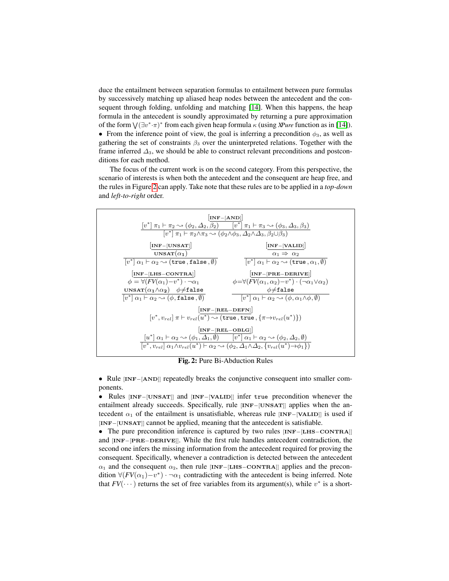duce the entailment between separation formulas to entailment between pure formulas by successively matching up aliased heap nodes between the antecedent and the consequent through folding, unfolding and matching [\[14\]](#page-16-1). When this happens, the heap formula in the antecedent is soundly approximated by returning a pure approximation of the form  $\sqrt{(\exists v^*\cdot \pi)^*}$  from each given heap formula  $\kappa$  (using *XPure* function as in [\[14\]](#page-16-1)). • From the inference point of view, the goal is inferring a precondition  $\phi_3$ , as well as gathering the set of constraints  $\beta_3$  over the uninterpreted relations. Together with the frame inferred  $\Delta_3$ , we should be able to construct relevant preconditions and postconditions for each method.

The focus of the current work is on the second category. From this perspective, the scenario of interests is when both the antecedent and the consequent are heap free, and the rules in Figure [2](#page-7-0) can apply. Take note that these rules are to be applied in a *top-down* and *left-to-right* order.

<span id="page-7-0"></span>

Fig. 2: Pure Bi-Abduction Rules

• Rule [INF−[AND]] repeatedly breaks the conjunctive consequent into smaller components.

• Rules [INF−[UNSAT]] and [INF−[VALID]] infer true precondition whenever the entailment already succeeds. Specifically, rule [INF−[UNSAT]] applies when the antecedent  $\alpha_1$  of the entailment is unsatisfiable, whereas rule [INF-[VALID]] is used if [INF-[UNSAT]] cannot be applied, meaning that the antecedent is satisfiable.

• The pure precondition inference is captured by two rules [INF−[LHS−CONTRA]] and [INF−[PRE−DERIVE]]. While the first rule handles antecedent contradiction, the second one infers the missing information from the antecedent required for proving the consequent. Specifically, whenever a contradiction is detected between the antecedent  $\alpha_1$  and the consequent  $\alpha_2$ , then rule [INF−[LHS−CONTRA]] applies and the precondition  $\forall (FV(\alpha_1)-v^*) \cdot \neg \alpha_1$  contradicting with the antecedent is being inferred. Note that  $FV(\cdots)$  returns the set of free variables from its argument(s), while  $v^*$  is a short-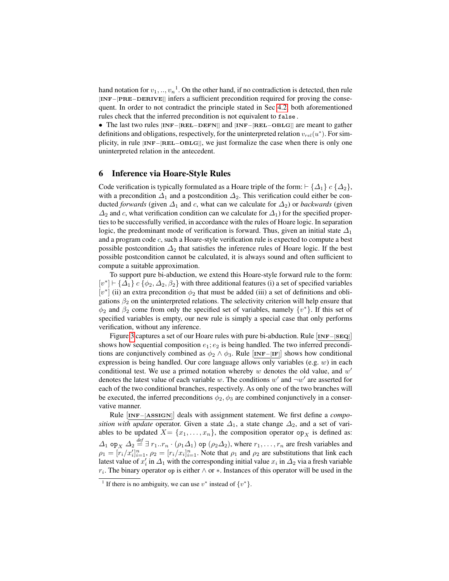hand notation for  $v_1, ..., v_n$ <sup>1</sup>. On the other hand, if no contradiction is detected, then rule [INF−[PRE−DERIVE]] infers a sufficient precondition required for proving the consequent. In order to not contradict the principle stated in Sec [4.2,](#page-5-1) both aforementioned rules check that the inferred precondition is not equivalent to false .

• The last two rules [INF−[REL−DEFN]] and [INF−[REL−OBLG]] are meant to gather definitions and obligations, respectively, for the uninterpreted relation  $v_{rel}(u^*)$ . For simplicity, in rule [INF−[REL−OBLG]], we just formalize the case when there is only one uninterpreted relation in the antecedent.

#### <span id="page-8-0"></span>6 Inference via Hoare-Style Rules

Code verification is typically formulated as a Hoare triple of the form:  $\vdash \{\Delta_1\}$  c  $\{\Delta_2\}$ , with a precondition  $\Delta_1$  and a postcondition  $\Delta_2$ . This verification could either be conducted *forwards* (given  $\Delta_1$  and c, what can we calculate for  $\Delta_2$ ) or *backwards* (given  $\Delta_2$  and c, what verification condition can we calculate for  $\Delta_1$ ) for the specified properties to be successfully verified, in accordance with the rules of Hoare logic. In separation logic, the predominant mode of verification is forward. Thus, given an initial state  $\Delta_1$ and a program code c, such a Hoare-style verification rule is expected to compute a best possible postcondition  $\Delta_2$  that satisfies the inference rules of Hoare logic. If the best possible postcondition cannot be calculated, it is always sound and often sufficient to compute a suitable approximation.

To support pure bi-abduction, we extend this Hoare-style forward rule to the form:  $[v^*]$   $\vdash$  { $\Delta_1$ }  $c$  { $\phi_2$ ,  $\Delta_2$ ,  $\beta_2$ } with three additional features (i) a set of specified variables [ $v^*$ ] (ii) an extra precondition  $\phi_2$  that must be added (iii) a set of definitions and obligations  $\beta_2$  on the uninterpreted relations. The selectivity criterion will help ensure that  $\phi_2$  and  $\beta_2$  come from only the specified set of variables, namely  $\{v^*\}$ . If this set of specified variables is empty, our new rule is simply a special case that only performs verification, without any inference.

Figure [3](#page-9-0) captures a set of our Hoare rules with pure bi-abduction. Rule [INF−[SEQ]] shows how sequential composition  $e_1$ ;  $e_2$  is being handled. The two inferred preconditions are conjunctively combined as  $\phi_2 \wedge \phi_3$ . Rule [INF−[IF]] shows how conditional expression is being handled. Our core language allows only variables (e.g.  $w$ ) in each conditional test. We use a primed notation whereby  $w$  denotes the old value, and  $w'$ denotes the latest value of each variable w. The conditions  $w'$  and  $\neg w'$  are asserted for each of the two conditional branches, respectively. As only one of the two branches will be executed, the inferred preconditions  $\phi_2$ ,  $\phi_3$  are combined conjunctively in a conservative manner.

Rule [INF−[ASSIGN]] deals with assignment statement. We first define a *composition with update* operator. Given a state  $\Delta_1$ , a state change  $\Delta_2$ , and a set of variables to be updated  $X = \{x_1, \ldots, x_n\}$ , the composition operator  $op_X$  is defined as:  $\Delta_1$  op<sub>X</sub>  $\Delta_2 \stackrel{\text{def}}{=} \exists r_1..r_n \cdot (\rho_1 \Delta_1)$  op  $(\rho_2 \Delta_2)$ , where  $r_1, \ldots, r_n$  are fresh variables and  $\rho_1 = [r_i/x_i']_{i=1}^n$ ,  $\rho_2 = [r_i/x_i]_{i=1}^n$ . Note that  $\rho_1$  and  $\rho_2$  are substitutions that link each latest value of  $x'_i$  in  $\Delta_1$  with the corresponding initial value  $x_i$  in  $\Delta_2$  via a fresh variable  $r_i$ . The binary operator op is either  $\wedge$  or  $\ast$ . Instances of this operator will be used in the

<sup>&</sup>lt;sup>1</sup> If there is no ambiguity, we can use  $v^*$  instead of  $\{v^*\}.$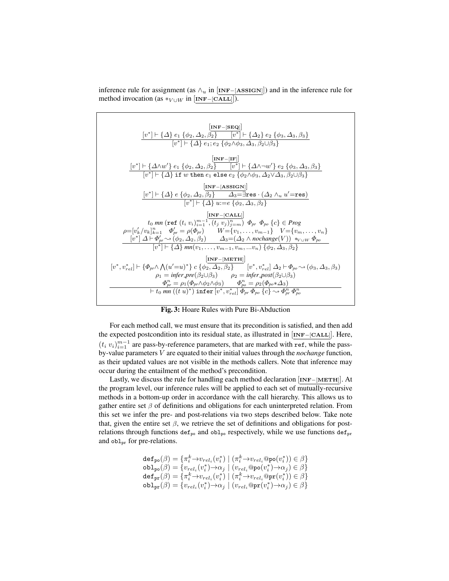inference rule for assignment (as  $\wedge_u$  in [INF–[ASSIGN]]) and in the inference rule for method invocation (as  $*_{V \cup W}$  in [INF–[CALL]]).

<span id="page-9-0"></span>

Fig. 3: Hoare Rules with Pure Bi-Abduction

For each method call, we must ensure that its precondition is satisfied, and then add the expected postcondition into its residual state, as illustrated in [INF−[CALL]]. Here,  $(t_i v_i)_{i=1}^{m-1}$  are pass-by-reference parameters, that are marked with ref, while the passby-value parameters V are equated to their initial values through the *nochange* function, as their updated values are not visible in the methods callers. Note that inference may occur during the entailment of the method's precondition.

Lastly, we discuss the rule for handling each method declaration [INF−[METH]]. At the program level, our inference rules will be applied to each set of mutually-recursive methods in a bottom-up order in accordance with the call hierarchy. This allows us to gather entire set  $\beta$  of definitions and obligations for each uninterpreted relation. From this set we infer the pre- and post-relations via two steps described below. Take note that, given the entire set  $\beta$ , we retrieve the set of definitions and obligations for postrelations through functions def<sub>po</sub> and obl<sub>po</sub> respectively, while we use functions def<sub>pr</sub> and  $obl_{pr}$  for pre-relations.

defpo(β) = {π k <sup>i</sup> →vrel<sup>i</sup> (v ∗ ) | (π k i <sup>i</sup> →vreli@po(v ∗ i )) ∈ β} oblpo(β) = {vrel<sup>i</sup> (v ∗ i )→α<sup>j</sup> | (vreli@po(v ∗ i )→α<sup>j</sup> ) ∈ β} defpr(β) = {π k <sup>i</sup> →vrel<sup>i</sup> (v ∗ i ) | (π k <sup>i</sup> →vreli@pr(v ∗ i )) ∈ β} oblpr(β) = {vrel<sup>i</sup> (v ∗ i )→α<sup>j</sup> | (vreli@pr(v ∗ i )→α<sup>j</sup> ) ∈ β}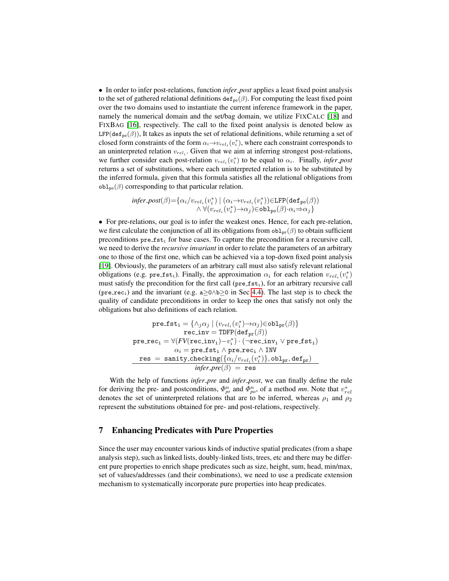• In order to infer post-relations, function *infer post* applies a least fixed point analysis to the set of gathered relational definitions  $\text{def}_{\text{po}}(\beta)$ . For computing the least fixed point over the two domains used to instantiate the current inference framework in the paper, namely the numerical domain and the set/bag domain, we utilize FIXCALC [\[18\]](#page-16-6) and FIXBAG [\[16\]](#page-16-8), respectively. The call to the fixed point analysis is denoted below as LFP(def<sub>po</sub> $(\beta)$ ), It takes as inputs the set of relational definitions, while returning a set of closed form constraints of the form  $\alpha_i \rightarrow v_{rel_i}(v_i^*)$ , where each constraint corresponds to an uninterpreted relation  $v_{rel_i}$ . Given that we aim at inferring strongest post-relations, we further consider each post-relation  $v_{rel_i}(v_i^*)$  to be equal to  $\alpha_i$ . Finally, *infer-post* returns a set of substitutions, where each uninterpreted relation is to be substituted by the inferred formula, given that this formula satisfies all the relational obligations from  $obl_{po}(\beta)$  corresponding to that particular relation.

$$
\begin{array}{c} \inferr\text{-}post(\beta)\text{=}\{\alpha_i/v_{rel_i}(v_i^*) \mid (\alpha_i \text{---} v_{rel_i}(v_i^*)) \text{ }\in \text{LFP}(\text{def}_\text{po}(\beta)) \\ \wedge \; \forall (v_{rel_i}(v_i^*) \text{---} \alpha_j) \text{ }\in \text{obl}_\text{po}(\beta) \cdot \alpha_i \text{---} \alpha_j \} \end{array}
$$

• For pre-relations, our goal is to infer the weakest ones. Hence, for each pre-relation, we first calculate the conjunction of all its obligations from  $obl_{\text{pr}}(\beta)$  to obtain sufficient preconditions  $pre\_fst_1$  for base cases. To capture the precondition for a recursive call, we need to derive the *recursive invariant* in order to relate the parameters of an arbitrary one to those of the first one, which can be achieved via a top-down fixed point analysis [\[19\]](#page-16-7). Obviously, the parameters of an arbitrary call must also satisfy relevant relational obligations (e.g. pre\_fst<sub>i</sub>). Finally, the approximation  $\alpha_i$  for each relation  $v_{rel_i}(v_i^*)$ must satisfy the precondition for the first call ( $pre\_fst_i$ ), for an arbitrary recursive call (pre rec<sub>i</sub>) and the invariant (e.g. a>0∧b>0 in Sec [4.4\)](#page-5-0). The last step is to check the quality of candidate preconditions in order to keep the ones that satisfy not only the obligations but also definitions of each relation.

$$
\begin{matrix} \texttt{pre\_fst}_i = \{\land_j \alpha_j \mid (v_{rel_i}(v_i^*) \rightarrow \alpha_j) \in \texttt{obl}_{\texttt{pr}}(\beta) \} \\ \texttt{rec\_inv} = \texttt{IDFP}(\texttt{def}_{\texttt{pr}}(\beta)) \\ \texttt{pre\_rec}_i = \forall (FV(\texttt{rec\_inv}_i) - v_i^*) \cdot (\neg \texttt{rec\_inv}_i \lor \texttt{pre\_fst}_i) \\ \alpha_i = \texttt{pre\_fst}_i \land \texttt{pre\_rec}_i \land \texttt{INV} \\ \texttt{res} = \texttt{sanity\_checking}(\{\alpha_i/v_{rel_i}(v_i^*)\}, \texttt{obl}_{\texttt{pr}}, \texttt{def}_{\texttt{pr}}) \\ \textit{infer\_pre}(\beta) = \texttt{res} \end{matrix}
$$

With the help of functions *infer pre* and *infer post*, we can finally define the rule for deriving the pre- and postconditions,  $\Phi_{pr}^n$  and  $\Phi_{po}^n$ , of a method *mn*. Note that  $v_{rel}^*$ denotes the set of uninterpreted relations that are to be inferred, whereas  $\rho_1$  and  $\rho_2$ represent the substitutions obtained for pre- and post-relations, respectively.

#### <span id="page-10-0"></span>7 Enhancing Predicates with Pure Properties

Since the user may encounter various kinds of inductive spatial predicates (from a shape analysis step), such as linked lists, doubly-linked lists, trees, etc and there may be different pure properties to enrich shape predicates such as size, height, sum, head, min/max, set of values/addresses (and their combinations), we need to use a predicate extension mechanism to systematically incorporate pure properties into heap predicates.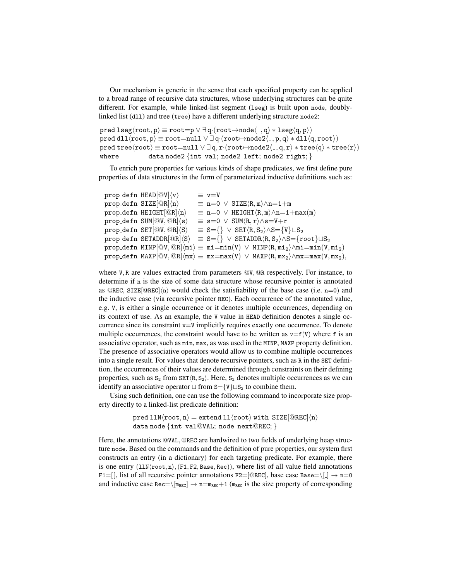Our mechanism is generic in the sense that each specified property can be applied to a broad range of recursive data structures, whose underlying structures can be quite different. For example, while linked-list segment (lseg) is built upon node, doublylinked list (dll) and tree (tree) have a different underlying structure node2:

pred lseg $\langle root, p \rangle \equiv root=p \vee \exists q \cdot (root \rightarrow node\langle ., q \rangle * \text{lseg}\langle q, p \rangle)$ pred dll $\langle root, p \rangle \equiv root = null \vee \exists q \cdot (root \rightarrow node2\langle , p, q \rangle * dll\langle q, root \rangle)$ pred tree $\langle root \rangle \equiv root = null \vee \exists q, r \cdot (root \rightarrow node2\langle \cdot, q, r \rangle * tree\langle q \rangle * tree\langle r \rangle)$ where data node2  $\{$ int val; node2 left; node2 right;  $\}$ 

To enrich pure properties for various kinds of shape predicates, we first define pure properties of data structures in the form of parameterized inductive definitions such as:

```
prop_defn HEAD[@V]\langle v \rangle \equiv v=V
prop_defn SIZE[@R]\langle n \rangle = n=0 \lor SIZE\langle R, m \rangle \wedge n=1+mprop_defn HEIGHT[@R]\langle n\rangle = n=0 \vee HEIGHT\langle R, m\rangle \wedge n=1+max(m)prop_defn SUM[@V, @R]\langle s \rangle = s=0 \vee \text{SUM}\langle R, r \rangle \wedge s=V+rprop_defn SET[@V, @R\rangle\langle s \rangle = S=\{\} \vee SET\langle R, S_2\rangle \wedge S=\{V\} \sqcup S_2prop_defn SETADDR[@R]\langle S \rangle \equiv S = \{\} \vee SETADDR\langle R, S_2 \rangle \wedge S = \{root\} \sqcup S_2prop defn MINP[@V, @R]\langle mi \rangle \equiv mi = min(V) \vee MINP\langle R, mi_2\rangle/\text{mi} = min(V, mi_2)prop_defn MAXP[@V, @R]\langle mx\rangle \equiv mx=max(V) \vee MAXP\langle R, mx_2\rangle \wedge mx=max(V, mx_2),
```
where V, R are values extracted from parameters  $\mathbb{Q}V$ ,  $\mathbb{Q}R$  respectively. For instance, to determine if n is the size of some data structure whose recursive pointer is annotated as @REC, SIZE[@REC] $\langle n \rangle$  would check the satisfiability of the base case (i.e. n=0) and the inductive case (via recursive pointer REC). Each occurrence of the annotated value, e.g. V, is either a single occurrence or it denotes multiple occurrences, depending on its context of use. As an example, the V value in HEAD definition denotes a single occurrence since its constraint  $v = V$  implicitly requires exactly one occurrence. To denote multiple occurrences, the constraint would have to be written as  $v=f(V)$  where f is an associative operator, such as min, max, as was used in the MINP, MAXP property definition. The presence of associative operators would allow us to combine multiple occurrences into a single result. For values that denote recursive pointers, such as R in the SET definition, the occurrences of their values are determined through constraints on their defining properties, such as  $S_2$  from  $SET(R, S_2)$ . Here,  $S_2$  denotes multiple occurrences as we can identify an associative operator  $\sqcup$  from  $S = \{V\} \sqcup S_2$  to combine them.

Using such definition, one can use the following command to incorporate size property directly to a linked-list predicate definition:

> pred  $11N\langle root, n \rangle$  = extend  $11\langle root \rangle$  with SIZE[@REC] $\langle n \rangle$ data node {int val@VAL; node next@REC; }

Here, the annotations @VAL, @REC are hardwired to two fields of underlying heap structure node. Based on the commands and the definition of pure properties, our system first constructs an entry (in a dictionary) for each targeting predicate. For example, there is one entry  $(11N(root, n), (F1, F2, Base, Rec))$ , where list of all value field annotations F1=[], list of all recursive pointer annotations F2=[@REC], base case Base= $\lfloor \cdot \rfloor \rightarrow$  n=0 and inductive case Rec= $\langle \text{Im}_{\text{REC}} \rangle \rightarrow \text{n} = \text{Im}_{\text{REC}} + 1$  ( $\text{Im}_{\text{REC}}$  is the size property of corresponding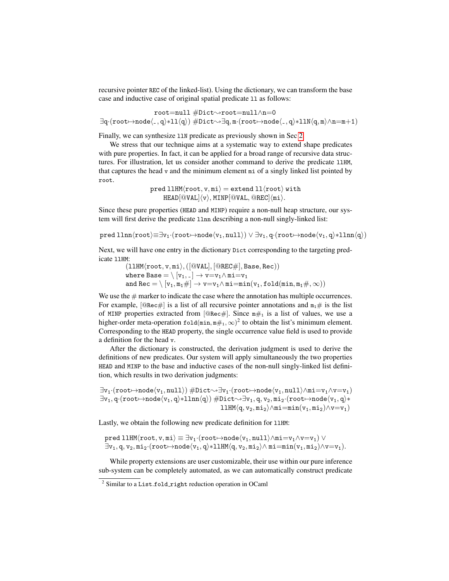recursive pointer REC of the linked-list). Using the dictionary, we can transform the base case and inductive case of original spatial predicate ll as follows:

root=null #Dict❀root=null∧n=0  $\exists q\cdot (root \mapsto node\langle \_ , q \rangle * 11 \langle q \rangle) \#Dict \leadsto \exists q, m\cdot (root \mapsto node\langle \_ , q \rangle * 11 \langle q, m \rangle \land n=m+1)$ 

Finally, we can synthesize llN predicate as previously shown in Sec [2.](#page-2-0)

We stress that our technique aims at a systematic way to extend shape predicates with pure properties. In fact, it can be applied for a broad range of recursive data structures. For illustration, let us consider another command to derive the predicate llHM, that captures the head v and the minimum element  $m$  is of a singly linked list pointed by root.

> $pred$  llHM $\langle root, v, mi \rangle$  = extend ll $\langle root \rangle$  with  $HEAD[@VAL]\langle v \rangle, MINP[@VAL, @REC]\langle mi \rangle.$

Since these pure properties (HEAD and MINP) require a non-null heap structure, our system will first derive the predicate llnn describing a non-null singly-linked list:

pred llnn $\langle root \rangle \equiv \exists v_1 \cdot (root \mapsto node(v_1, null)) \vee \exists v_1, q \cdot (root \mapsto node(v_1, q) * lnn(q))$ 

Next, we will have one entry in the dictionary Dict corresponding to the targeting predicate llHM:

 $(11HM(root, v, mi), ([@VAL], [@REC#], Base, Rec))$ where Base  $= \backslash \left[ \mathtt{v}_\mathtt{1}, \mathtt{\_} \right] \rightarrow \mathtt{v}{=}\mathtt{v}_\mathtt{1} \land \mathtt{m}\mathtt{i}{=}\mathtt{v}_\mathtt{1}$ and  $\texttt{Rec} = \langle [v_1, m_1 \#] \to v = v_1 \land m \texttt{i} = \texttt{min}(v_1, \texttt{fold}(\texttt{min}, m_1 \#, \infty))$ 

We use the  $\#$  marker to indicate the case where the annotation has multiple occurrences. For example,  $[@Rec#]$  is a list of all recursive pointer annotations and  $m_1#$  is the list of MINP properties extracted from  $[@Rec#]$ . Since  $m#_1$  is a list of values, we use a higher-order meta-operation  $\text{fold}(\min, \min \#_1, \infty)^2$  to obtain the list's minimum element. Corresponding to the HEAD property, the single occurrence value field is used to provide a definition for the head v.

After the dictionary is constructed, the derivation judgment is used to derive the definitions of new predicates. Our system will apply simultaneously the two properties HEAD and MINP to the base and inductive cases of the non-null singly-linked list definition, which results in two derivation judgments:

 $\exists v_1 \cdot (\texttt{root} \mapsto \texttt{node}\langle v_1, \texttt{null}\rangle) \# \texttt{Dict} \leadsto \exists v_1 \cdot (\texttt{root} \mapsto \texttt{node}\langle v_1, \texttt{null}\rangle \wedge \texttt{mil} = v_1 \wedge v=v_1)$  $\exists v_1, q \cdot (root \mapsto node\langle v_1, q \rangle * 11nn\langle q \rangle) \#Dict \leadsto \exists v_1, q, v_2, mi_2 \cdot (root \mapsto node\langle v_1, q \rangle * 11nn\langle q \rangle)$ llHM $\langle q, v_2, m i_2 \rangle \wedge m i = min(v_1, m i_2) \wedge v = v_1)$ 

Lastly, we obtain the following new predicate definition for 11HM:

pred llHM $\langle root, v, mi \rangle \equiv \exists v_1 \cdot (root \mapsto node \langle v_1, null \rangle \wedge mi=v_1 \wedge v=v_1)$   $\vee$  $\exists v_1, q, v_2, m i_2 \cdot (root \rightarrow node\langle v_1, q \rangle * 11$ HM $\langle q, v_2, m i_2 \rangle \wedge m i = min(v_1, m i_2) \wedge v =v_1).$ 

While property extensions are user customizable, their use within our pure inference sub-system can be completely automated, as we can automatically construct predicate

<sup>&</sup>lt;sup>2</sup> Similar to a List.fold\_right reduction operation in OCaml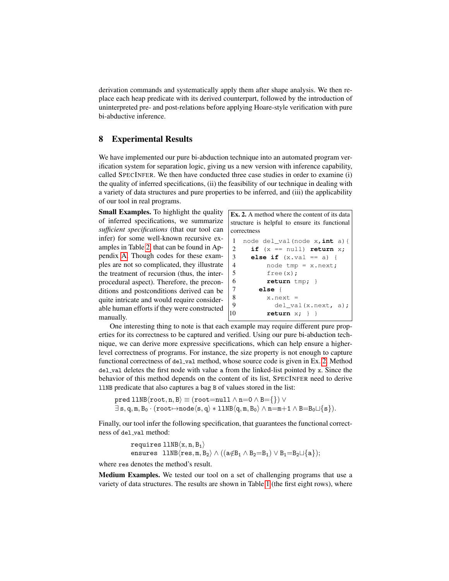derivation commands and systematically apply them after shape analysis. We then replace each heap predicate with its derived counterpart, followed by the introduction of uninterpreted pre- and post-relations before applying Hoare-style verification with pure bi-abductive inference.

### <span id="page-13-0"></span>8 Experimental Results

We have implemented our pure bi-abduction technique into an automated program verification system for separation logic, giving us a new version with inference capability, called SPECINFER. We then have conducted three case studies in order to examine (i) the quality of inferred specifications, (ii) the feasibility of our technique in dealing with a variety of data structures and pure properties to be inferred, and (iii) the applicability of our tool in real programs.

Small Examples. To highlight the quality of inferred specifications, we summarize *sufficient specifications* (that our tool can infer) for some well-known recursive examples in Table [2,](#page-18-0) that can be found in Appendix [A.](#page-18-1) Though codes for these examples are not so complicated, they illustrate the treatment of recursion (thus, the interprocedural aspect). Therefore, the preconditions and postconditions derived can be quite intricate and would require considerable human efforts if they were constructed manually.

<span id="page-13-1"></span>Ex. 2. A method where the content of its data structure is helpful to ensure its functional correctness

```
1 node del_val(node x,int a){
2 if (x == null) return x;
3 else if (x.val == a) {
4 node tmp = x.next;
5 free(x);
6 return tmp; }
7 else {
8 x.next =
9 del_val(x.next, a);
10 return x; } }
```
One interesting thing to note is that each example may require different pure properties for its correctness to be captured and verified. Using our pure bi-abduction technique, we can derive more expressive specifications, which can help ensure a higherlevel correctness of programs. For instance, the size property is not enough to capture functional correctness of del val method, whose source code is given in Ex. [2.](#page-13-1) Method del val deletes the first node with value a from the linked-list pointed by x. Since the behavior of this method depends on the content of its list, SPECINFER need to derive llNB predicate that also captures a bag B of values stored in the list:

pred llNB $\langle$ root, n, B $\rangle \equiv$  (root=null  $\land$  n=0  $\land$  B={})  $\lor$  $\exists s, q, m, B_0 \cdot (root \rightarrow node \langle s, q \rangle * 11NB \langle q, m, B_0 \rangle \wedge n=m+1 \wedge B=B_0 \sqcup \{s\}).$ 

Finally, our tool infer the following specification, that guarantees the functional correctness of del val method:

$$
\begin{array}{l} \texttt{requires 11NB}\langle x, n, B_1\rangle \\ \texttt{ensures 11NB}\langle \texttt{res}, m, B_2\rangle \land ((a \notin B_1 \land B_2 = B_1) \lor B_1 = B_2 \sqcup \{a\}); \end{array}
$$

where res denotes the method's result.

Medium Examples. We tested our tool on a set of challenging programs that use a variety of data structures. The results are shown in Table [1](#page-14-0) (the first eight rows), where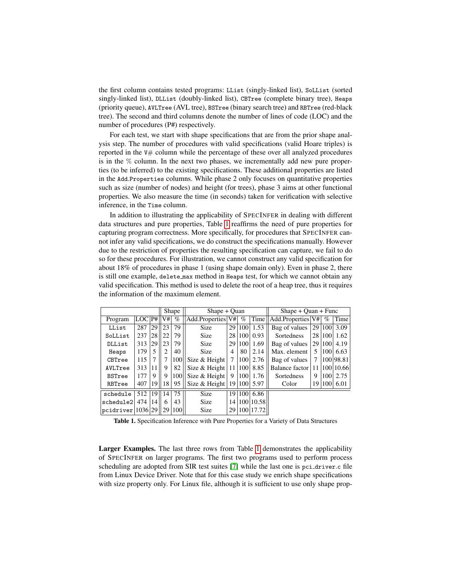the first column contains tested programs: LList (singly-linked list), SoLList (sorted singly-linked list), DLList (doubly-linked list), CBTree (complete binary tree), Heaps (priority queue), AVLTree (AVL tree), BSTree (binary search tree) and RBTree (red-black tree). The second and third columns denote the number of lines of code (LOC) and the number of procedures (P#) respectively.

For each test, we start with shape specifications that are from the prior shape analysis step. The number of procedures with valid specifications (valid Hoare triples) is reported in the  $V#$  column while the percentage of these over all analyzed procedures is in the % column. In the next two phases, we incrementally add new pure properties (to be inferred) to the existing specifications. These additional properties are listed in the Add.Properties columns. While phase 2 only focuses on quantitative properties such as size (number of nodes) and height (for trees), phase 3 aims at other functional properties. We also measure the time (in seconds) taken for verification with selective inference, in the Time column.

In addition to illustrating the applicability of SPECINFER in dealing with different data structures and pure properties, Table [1](#page-14-0) reaffirms the need of pure properties for capturing program correctness. More specifically, for procedures that SPECINFER cannot infer any valid specifications, we do construct the specifications manually. However due to the restriction of properties the resulting specification can capture, we fail to do so for these procedures. For illustration, we cannot construct any valid specification for about 18% of procedures in phase 1 (using shape domain only). Even in phase 2, there is still one example, delete max method in Heaps test, for which we cannot obtain any valid specification. This method is used to delete the root of a heap tree, thus it requires the information of the maximum element.

|                   |            |    | Shape |      | $Shape + Quan$    |    |      |                | $Shape + Quan + Func$ |      |      |           |
|-------------------|------------|----|-------|------|-------------------|----|------|----------------|-----------------------|------|------|-----------|
| Program           | <b>LOC</b> | P# | V#    | $\%$ | Add.Properties V# |    | $\%$ | Time           | Add.Properties V#     |      | $\%$ | Time      |
| LList             | 287        | 29 | 23    | 79   | <b>Size</b>       | 29 | 100  | 1.53           | Bag of values         | 29   | 100  | 3.09      |
| SoLList           | 237        | 28 | 22    | 79   | <b>Size</b>       | 28 | 100  | 0.93           | <b>Sortedness</b>     | 28 l | 100  | 1.62      |
| DLList            | 313        | 29 | 23    | 79   | <b>Size</b>       | 29 | 100  | 1.69           | Bag of values         | 29   | 100  | 4.19      |
| Heaps             | 179        | 5  | 2     | 40   | <b>Size</b>       | 4  | 80   | 2.14           | Max. element          | 5    | 100  | 6.63      |
| CBTree            | 115        | 7  |       | 100  | Size & Height     | 7  | 100  | 2.76           | Bag of values         | 7    |      | 100 98.81 |
| AVLTree           | 313        | 11 | 9     | 82   | Size & Height     | 11 | 100  | 8.85           | Balance factor        | 11   |      | 100 10.66 |
| <b>BSTree</b>     | 177        | 9  | 9     | 100  | Size & Height     | 9  | 100  | 1.76           | <b>Sortedness</b>     | 9    | 100  | 2.75      |
| RBTree            | 407        | 19 | 18    | 95   | Size & Height     | 19 | 100  | 5.97           | Color                 | 19   | 100  | 6.01      |
| schedule          | 512        | 19 | 14    | 75   | <b>Size</b>       |    |      | $19 100 $ 6.86 |                       |      |      |           |
| schedule2         | 474        | 14 | 6     | 43   | <b>Size</b>       | 14 |      | 100 10.58      |                       |      |      |           |
| pcidriver 1036 29 |            |    | 29    | 100  | <b>Size</b>       | 29 |      | 100 17.72      |                       |      |      |           |

<span id="page-14-0"></span>Table 1. Specification Inference with Pure Properties for a Variety of Data Structures

Larger Examples. The last three rows from Table [1](#page-14-0) demonstrates the applicability of SPECINFER on larger programs. The first two programs used to perform process scheduling are adopted from SIR test suites [\[7\]](#page-16-9) while the last one is pci driver.c file from Linux Device Driver. Note that for this case study we enrich shape specifications with size property only. For Linux file, although it is sufficient to use only shape prop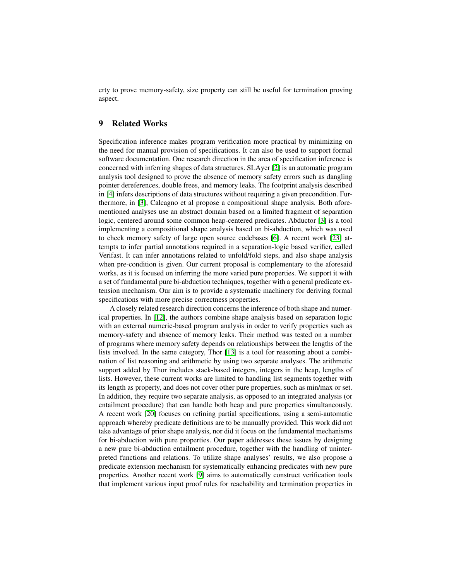erty to prove memory-safety, size property can still be useful for termination proving aspect.

#### 9 Related Works

Specification inference makes program verification more practical by minimizing on the need for manual provision of specifications. It can also be used to support formal software documentation. One research direction in the area of specification inference is concerned with inferring shapes of data structures. SLAyer [\[2\]](#page-16-10) is an automatic program analysis tool designed to prove the absence of memory safety errors such as dangling pointer dereferences, double frees, and memory leaks. The footprint analysis described in [\[4\]](#page-16-11) infers descriptions of data structures without requiring a given precondition. Furthermore, in [\[3\]](#page-16-2), Calcagno et al propose a compositional shape analysis. Both aforementioned analyses use an abstract domain based on a limited fragment of separation logic, centered around some common heap-centered predicates. Abductor [\[3\]](#page-16-2) is a tool implementing a compositional shape analysis based on bi-abduction, which was used to check memory safety of large open source codebases [\[6\]](#page-16-12). A recent work [\[23\]](#page-17-1) attempts to infer partial annotations required in a separation-logic based verifier, called Verifast. It can infer annotations related to unfold/fold steps, and also shape analysis when pre-condition is given. Our current proposal is complementary to the aforesaid works, as it is focused on inferring the more varied pure properties. We support it with a set of fundamental pure bi-abduction techniques, together with a general predicate extension mechanism. Our aim is to provide a systematic machinery for deriving formal specifications with more precise correctness properties.

A closely related research direction concerns the inference of both shape and numerical properties. In [\[12\]](#page-16-13), the authors combine shape analysis based on separation logic with an external numeric-based program analysis in order to verify properties such as memory-safety and absence of memory leaks. Their method was tested on a number of programs where memory safety depends on relationships between the lengths of the lists involved. In the same category, Thor [\[13\]](#page-16-14) is a tool for reasoning about a combination of list reasoning and arithmetic by using two separate analyses. The arithmetic support added by Thor includes stack-based integers, integers in the heap, lengths of lists. However, these current works are limited to handling list segments together with its length as property, and does not cover other pure properties, such as min/max or set. In addition, they require two separate analysis, as opposed to an integrated analysis (or entailment procedure) that can handle both heap and pure properties simultaneously. A recent work [\[20\]](#page-17-2) focuses on refining partial specifications, using a semi-automatic approach whereby predicate definitions are to be manually provided. This work did not take advantage of prior shape analysis, nor did it focus on the fundamental mechanisms for bi-abduction with pure properties. Our paper addresses these issues by designing a new pure bi-abduction entailment procedure, together with the handling of uninterpreted functions and relations. To utilize shape analyses' results, we also propose a predicate extension mechanism for systematically enhancing predicates with new pure properties. Another recent work [\[9\]](#page-16-15) aims to automatically construct verification tools that implement various input proof rules for reachability and termination properties in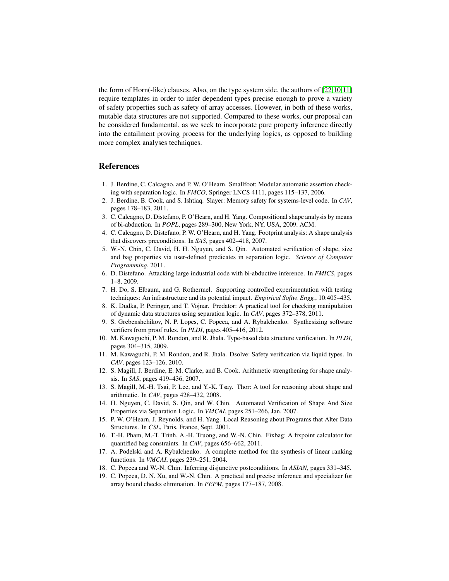the form of Horn(-like) clauses. Also, on the type system side, the authors of [\[22](#page-17-3)[,10](#page-16-16)[,11\]](#page-16-17) require templates in order to infer dependent types precise enough to prove a variety of safety properties such as safety of array accesses. However, in both of these works, mutable data structures are not supported. Compared to these works, our proposal can be considered fundamental, as we seek to incorporate pure property inference directly into the entailment proving process for the underlying logics, as opposed to building more complex analyses techniques.

#### References

- <span id="page-16-0"></span>1. J. Berdine, C. Calcagno, and P. W. O'Hearn. Smallfoot: Modular automatic assertion checking with separation logic. In *FMCO*, Springer LNCS 4111, pages 115–137, 2006.
- <span id="page-16-10"></span>2. J. Berdine, B. Cook, and S. Ishtiaq. Slayer: Memory safety for systems-level code. In *CAV*, pages 178–183, 2011.
- <span id="page-16-2"></span>3. C. Calcagno, D. Distefano, P. O'Hearn, and H. Yang. Compositional shape analysis by means of bi-abduction. In *POPL*, pages 289–300, New York, NY, USA, 2009. ACM.
- <span id="page-16-11"></span>4. C. Calcagno, D. Distefano, P. W. O'Hearn, and H. Yang. Footprint analysis: A shape analysis that discovers preconditions. In *SAS*, pages 402–418, 2007.
- <span id="page-16-18"></span>5. W.-N. Chin, C. David, H. H. Nguyen, and S. Qin. Automated verification of shape, size and bag properties via user-defined predicates in separation logic. *Science of Computer Programming*, 2011.
- <span id="page-16-12"></span>6. D. Distefano. Attacking large industrial code with bi-abductive inference. In *FMICS*, pages 1–8, 2009.
- <span id="page-16-9"></span>7. H. Do, S. Elbaum, and G. Rothermel. Supporting controlled experimentation with testing techniques: An infrastructure and its potential impact. *Empirical Softw. Engg.*, 10:405–435.
- <span id="page-16-4"></span>8. K. Dudka, P. Peringer, and T. Vojnar. Predator: A practical tool for checking manipulation of dynamic data structures using separation logic. In *CAV*, pages 372–378, 2011.
- <span id="page-16-15"></span>9. S. Grebenshchikov, N. P. Lopes, C. Popeea, and A. Rybalchenko. Synthesizing software verifiers from proof rules. In *PLDI*, pages 405–416, 2012.
- <span id="page-16-16"></span>10. M. Kawaguchi, P. M. Rondon, and R. Jhala. Type-based data structure verification. In *PLDI*, pages 304–315, 2009.
- <span id="page-16-17"></span>11. M. Kawaguchi, P. M. Rondon, and R. Jhala. Dsolve: Safety verification via liquid types. In *CAV*, pages 123–126, 2010.
- <span id="page-16-13"></span>12. S. Magill, J. Berdine, E. M. Clarke, and B. Cook. Arithmetic strengthening for shape analysis. In *SAS*, pages 419–436, 2007.
- <span id="page-16-14"></span>13. S. Magill, M.-H. Tsai, P. Lee, and Y.-K. Tsay. Thor: A tool for reasoning about shape and arithmetic. In *CAV*, pages 428–432, 2008.
- <span id="page-16-1"></span>14. H. Nguyen, C. David, S. Qin, and W. Chin. Automated Verification of Shape And Size Properties via Separation Logic. In *VMCAI*, pages 251–266, Jan. 2007.
- <span id="page-16-3"></span>15. P. W. O'Hearn, J. Reynolds, and H. Yang. Local Reasoning about Programs that Alter Data Structures. In *CSL*, Paris, France, Sept. 2001.
- <span id="page-16-8"></span>16. T.-H. Pham, M.-T. Trinh, A.-H. Truong, and W.-N. Chin. Fixbag: A fixpoint calculator for quantified bag constraints. In *CAV*, pages 656–662, 2011.
- <span id="page-16-5"></span>17. A. Podelski and A. Rybalchenko. A complete method for the synthesis of linear ranking functions. In *VMCAI*, pages 239–251, 2004.
- <span id="page-16-6"></span>18. C. Popeea and W.-N. Chin. Inferring disjunctive postconditions. In *ASIAN*, pages 331–345.
- <span id="page-16-7"></span>19. C. Popeea, D. N. Xu, and W.-N. Chin. A practical and precise inference and specializer for array bound checks elimination. In *PEPM*, pages 177–187, 2008.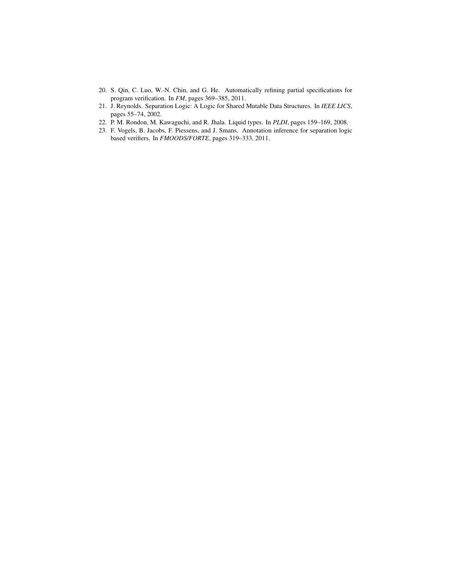- <span id="page-17-2"></span>20. S. Qin, C. Luo, W.-N. Chin, and G. He. Automatically refining partial specifications for program verification. In *FM*, pages 369–385, 2011.
- <span id="page-17-0"></span>21. J. Reynolds. Separation Logic: A Logic for Shared Mutable Data Structures. In *IEEE LICS*, pages 55–74, 2002.
- <span id="page-17-3"></span>22. P. M. Rondon, M. Kawaguchi, and R. Jhala. Liquid types. In *PLDI*, pages 159–169, 2008.
- <span id="page-17-1"></span>23. F. Vogels, B. Jacobs, F. Piessens, and J. Smans. Annotation inference for separation logic based verifiers. In *FMOODS/FORTE*, pages 319–333, 2011.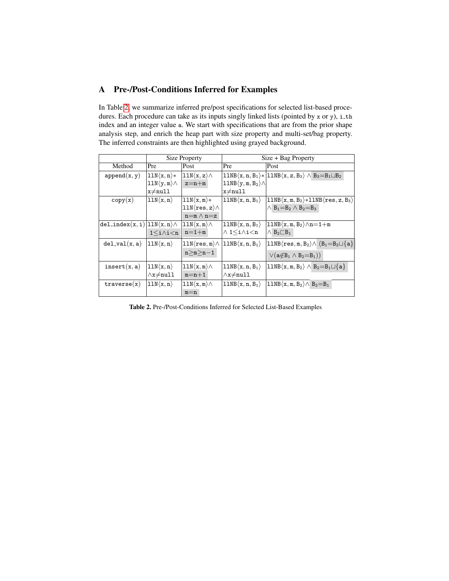## <span id="page-18-1"></span>A Pre-/Post-Conditions Inferred for Examples

In Table [2,](#page-18-0) we summarize inferred pre/post specifications for selected list-based procedures. Each procedure can take as its inputs singly linked lists (pointed by x or y), i\_th index and an integer value a. We start with specifications that are from the prior shape analysis step, and enrich the heap part with size property and multi-set/bag property. The inferred constraints are then highlighted using grayed background.

|                                                    |                               | <b>Size Property</b>             | Size + Bag Property                     |                                                                                         |  |  |
|----------------------------------------------------|-------------------------------|----------------------------------|-----------------------------------------|-----------------------------------------------------------------------------------------|--|--|
| Method                                             | Pre                           | Post                             | Pre                                     | Post                                                                                    |  |  |
| append(x, y)                                       | $11N\langle x, n\rangle*$     | $11N\langle x, z \rangle \wedge$ |                                         | $11NB\langle x, n, B_1\rangle *  11NB\langle x, z, B_3\rangle \wedge B_3=B_1\sqcup B_2$ |  |  |
|                                                    | $11N\langle y,m\rangle\wedge$ | $z=n+m$                          | $11NB\langle y,m,B_2\rangle\wedge$      |                                                                                         |  |  |
|                                                    | $x \neq null$                 |                                  | $x \neq null$                           |                                                                                         |  |  |
| copy(x)                                            | $11N\langle x, n \rangle$     | $11N\langle x,m\rangle*$         | $11NB\langle x, n, B_1\rangle$          | $ 11NB\langle x, m, B_2\rangle *11NB\langle res, z, B_3\rangle$                         |  |  |
|                                                    |                               | $11N(res, z) \wedge$             |                                         | $\wedge$ B <sub>1</sub> =B <sub>2</sub> $\wedge$ B <sub>2</sub> =B <sub>3</sub>         |  |  |
|                                                    |                               | $n=m \wedge n=z$                 |                                         |                                                                                         |  |  |
| $ del\_index(x, i) 11N\langle x, n \rangle \wedge$ |                               | $11N\langle x,m\rangle\wedge$    | $11NB\langle x, n, B_1\rangle$          | $\ket{\texttt{llNB}\langle \texttt{x}, \texttt{m}, \texttt{B}_2} \wedge \texttt{n=1+m}$ |  |  |
|                                                    | $1\leq i\wedge i\leq n$       | $n=1+m$                          | $\wedge$ 1 $\leq$ i $\wedge$ i $\leq$ n | $\wedge$ B <sub>2</sub> $\Box$ B <sub>1</sub>                                           |  |  |
| $del\_val(x, a)$                                   | $ 11N\langle x,n\rangle $     | $11N(res, m \wedge$              | $11NB\langle x, n, B_1\rangle$          | $\vert 11NB\langle res, m, B_2\rangle \wedge \langle B_1=B_2\sqcup\{a\}\vert$           |  |  |
|                                                    |                               | $n>m>n-1$                        |                                         | $\vee (a \notin B_1 \wedge B_2 = B_1))$                                                 |  |  |
| insert(x, a)                                       | $ 11N\langle x,n\rangle$      | $11N\langle x,m\rangle\wedge$    | $11NB\langle x, n, B_1\rangle$          | $\vert 11NB\langle x,m,B_2\rangle \wedge B_2 = B_1 \sqcup \{a\}$                        |  |  |
|                                                    | $\wedge x \neq null$          | $m=n+1$                          | $\wedge x \neq null$                    |                                                                                         |  |  |
| traverse(x)                                        | $11N\langle x, n \rangle$     | $11N\langle x,m\rangle\wedge$    | $11NB\langle x, n, B_1\rangle$          | $\vert 11NB\langle x,m,B_2\rangle \wedge B_2=B_1$                                       |  |  |
|                                                    |                               | $m=n$                            |                                         |                                                                                         |  |  |

<span id="page-18-0"></span>Table 2. Pre-/Post-Conditions Inferred for Selected List-Based Examples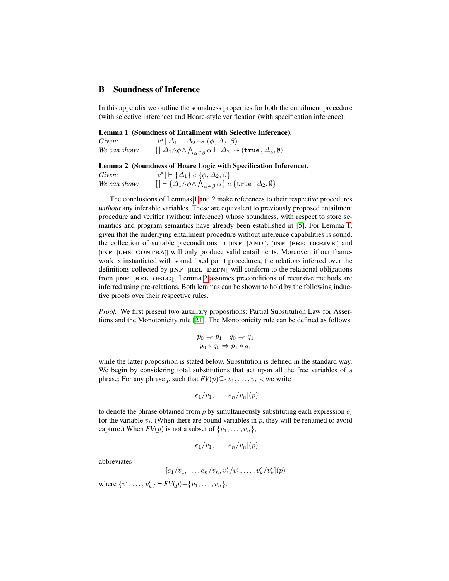### B Soundness of Inference

In this appendix we outline the soundness properties for both the entailment procedure (with selective inference) and Hoare-style verification (with specification inference).

<span id="page-19-0"></span>Lemma 1 (Soundness of Entailment with Selective Inference).

| Given:       | $[v^*] \Delta_1 \vdash \Delta_2 \rightsquigarrow (\phi, \Delta_3, \beta)$                                                                                      |
|--------------|----------------------------------------------------------------------------------------------------------------------------------------------------------------|
| We can show: | $\Box$ $\Box$ $\Box$ $\land$ $\Diamond$ $\land$ $\Diamond$ $\Box$ $\alpha$ $\vdash$ $\Box$ $\Box$ $\Diamond$ $\Diamond$ $(\mathtt{true}, \Delta_3, \emptyset)$ |

#### <span id="page-19-1"></span>Lemma 2 (Soundness of Hoare Logic with Specification Inference).

Given: \*]  $\vdash \{\Delta_1\}$  e  $\{\phi, \Delta_2, \beta\}$ *We can show:*  $[\;] \vdash \{\Delta_1 \wedge \phi \wedge \bigwedge_{\alpha \in \beta} \alpha\} \; e \; \{\mathtt{true}\,, \Delta_2, \emptyset\}$ 

The conclusions of Lemmas [1](#page-19-0) and [2](#page-19-1) make references to their respective procedures *without* any inferable variables. These are equivalent to previously proposed entailment procedure and verifier (without inference) whose soundness, with respect to store semantics and program semantics have already been established in [\[5\]](#page-16-18). For Lemma [1,](#page-19-0) given that the underlying entailment procedure without inference capabilities is sound, the collection of suitable preconditions in [INF−[AND]], [INF−[PRE−DERIVE]] and [INF−[LHS−CONTRA]] will only produce valid entailments. Moreover, if our framework is instantiated with sound fixed point procedures, the relations inferred over the definitions collected by [INF−[REL−DEFN]] will conform to the relational obligations from [INF−[REL−OBLG]]. Lemma [2](#page-19-1) assumes preconditions of recursive methods are inferred using pre-relations. Both lemmas can be shown to hold by the following inductive proofs over their respective rules.

*Proof.* We first present two auxiliary propositions: Partial Substitution Law for Assertions and the Monotonicity rule [\[21\]](#page-17-0). The Monotonicity rule can be defined as follows:

$$
\frac{p_0 \Rightarrow p_1 \quad q_0 \Rightarrow q_1}{p_0 * q_0 \Rightarrow p_1 * q_1}
$$

while the latter proposition is stated below. Substitution is defined in the standard way. We begin by considering total substitutions that act upon all the free variables of a phrase: For any phrase p such that  $FV(p) \subseteq \{v_1, \ldots, v_n\}$ , we write

$$
[e_1/v_1,\ldots,e_n/v_n](p)
$$

to denote the phrase obtained from  $p$  by simultaneously substituting each expression  $e_i$ for the variable  $v_i$ . (When there are bound variables in  $p$ , they will be renamed to avoid capture.) When  $FV(p)$  is not a subset of  $\{v_1, \ldots, v_n\}$ ,

$$
[e_1/v_1,\ldots,e_n/v_n](p)
$$

abbreviates

$$
[e_1/v_1, \ldots, e_n/v_n, v'_1/v'_1, \ldots, v'_k/v'_k](p)
$$

where  $\{v'_1, \ldots, v'_k\} = FV(p) - \{v_1, \ldots, v_n\}.$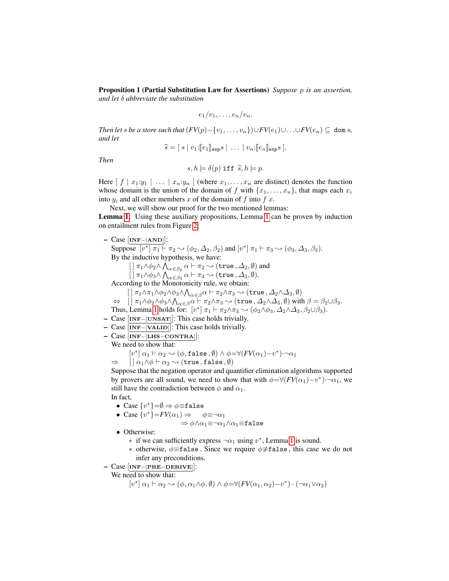Proposition 1 (Partial Substitution Law for Assertions) *Suppose* p *is an assertion, and let* δ *abbreviate the substitution*

$$
e_1/v_1,\ldots,e_n/v_n.
$$

*Then let* s *be a store such that*  $(FV(p)-\{v_1,\ldots,v_n\})\cup FV(e_1)\cup \ldots\cup FV(e_n)\subseteq \text{dom } s$ , *and let*

$$
\widehat{s} = [s \mid v_1: [e_1]_{\exp} s \mid \ldots \mid v_n: [e_n]_{\exp} s].
$$

*Then*

$$
s, h \models \delta(p) \text{ iff } \hat{s}, h \models p.
$$

Here  $[f | x_1:y_1 | \ldots | x_n:y_n]$  (where  $x_1,\ldots,x_n$  are distinct) denotes the function whose domain is the union of the domain of f with  $\{x_1, \ldots, x_n\}$ , that maps each  $x_i$ into  $y_i$  and all other members x of the domain of f into f x.

Next, we will show our proof for the two mentioned lemmas: Lemma [1.](#page-19-0) Using these auxiliary propositions, Lemma [1](#page-19-0) can be proven by induction on entailment rules from Figure [2:](#page-7-0)

- Case [INF−[AND]]: Suppose  $[v^*] \pi_1 \vdash \pi_2 \rightsquigarrow (\phi_2, \Delta_2, \beta_2)$  and  $[v^*] \pi_1 \vdash \pi_3 \rightsquigarrow (\phi_3, \Delta_3, \beta_3)$ . By the inductive hypothesis, we have:  $[ ]\ \pi_1\wedge\phi_2\wedge\bigwedge_{\alpha\in\beta_2}\alpha\vdash\pi_2\leadsto(\mathtt{true}\,,\varDelta_2,\emptyset)$  and  $[ ] \pi_1 \wedge \phi_3 \wedge \bigwedge_{\alpha \in \beta_3} \alpha \vdash \pi_3 \leadsto (\mathtt{true}, \Delta_3, \emptyset).$ According to the Monotonicity rule, we obtain:
	- $[~] \pi_1 \wedge \pi_1 \wedge \phi_2 \wedge \phi_3 \wedge \bigwedge_{\alpha \in \beta} \alpha \vdash \pi_2 \wedge \pi_3 \leadsto (\mathtt{true}\,, \varDelta_2 \wedge \varDelta_3, \emptyset)$
	- $\Leftrightarrow\quad [\,]\ \pi_1\wedge\phi_2\wedge\phi_3\wedge\bigwedge_{\alpha\in\beta}\alpha\vdash\pi_2\wedge\pi_3\leadsto(\mathtt{true}\,,\varDelta_2\wedge\varDelta_3,\emptyset) \text{ with }\beta=\beta_2\cup\beta_3.$
	- Thus, Lemma [1](#page-19-0) holds for:  $[v^*] \pi_1 \vdash \pi_2 \wedge \pi_3 \leadsto (\phi_2 \wedge \phi_3, \Delta_2 \wedge \Delta_3, \beta_2 \cup \beta_3).$
- Case [INF−[UNSAT]]: This case holds trivially.
- Case  $\overline{INF-[VALID]}$ : This case holds trivially.
- Case [INF−[LHS−CONTRA]]:

We need to show that:

$$
\begin{array}{ll} & [v^*] \ \alpha_1 \vdash \alpha_2 \leadsto (\phi, \texttt{false}, \emptyset) \land \phi = \forall (FV(\alpha_1) - v^*) \negthinspace \negthinspace \negthinspace \negthinspace \negthinspace \negthinspace \alpha_1 \\ \Rightarrow & [ \; ] \ \alpha_1 \land \phi \vdash \alpha_2 \leadsto (\texttt{true}, \texttt{false}, \emptyset) \end{array}
$$

Suppose that the negation operator and quantifier elimination algorithms supported by provers are all sound, we need to show that with  $\phi = \forall (FV(\alpha_1) - v^*) \cdot \neg \alpha_1$ , we still have the contradiction between  $\phi$  and  $\alpha_1$ .

In fact,

- Case  $\{v^*\}=\emptyset \Rightarrow \phi \equiv \texttt{false}$
- Case  $\{v^*\} = FV(\alpha_1) \Rightarrow \phi \equiv \neg \alpha_1$

$$
\Rightarrow \phi{\wedge}\alpha_1{\equiv}\neg\alpha_1{\wedge}\alpha_1{\equiv}\mathbf{false}
$$

• Otherwise:

- $∗$  if we can sufficiently express ¬α<sub>1</sub> using v<sup>\*</sup>, Lemma [1](#page-19-0) is sound.
- $\ast$  otherwise,  $\phi$ ≡false. Since we require  $\phi \neq$ false, this case we do not infer any preconditions.
- Case [INF−[PRE−DERIVE]]:

We need to show that:

 $[v^*] \alpha_1 \vdash \alpha_2 \leadsto (\phi, \alpha_1 \land \phi, \emptyset) \land \phi = \forall (FV(\alpha_1, \alpha_2)-v^*) \cdot (\neg \alpha_1 \lor \alpha_2)$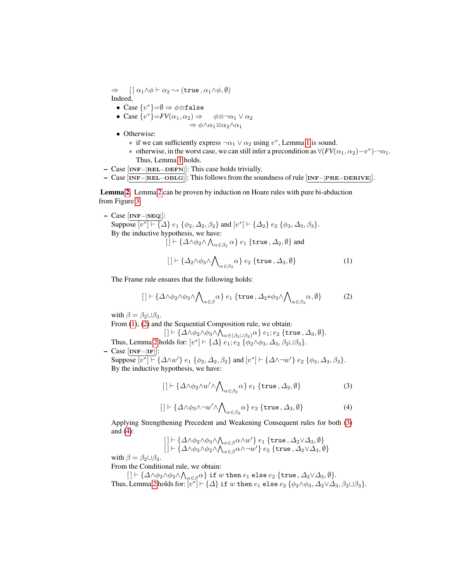$\Rightarrow$   $\left[ \begin{array}{cc} \alpha_1 \wedge \phi \vdash \alpha_2 \leadsto (\mathtt{true}, \alpha_1 \wedge \phi, \emptyset) \end{array} \right]$ Indeed,

- Case  $\{v^*\}=\emptyset \Rightarrow \phi \equiv \texttt{false}$
- Case  $\{v^*\} = FV(\alpha_1, \alpha_2) \Rightarrow \phi \equiv \neg \alpha_1 \vee \alpha_2$  $\Rightarrow \phi \wedge \alpha_1 \equiv \alpha_2 \wedge \alpha_1$ 
	-
- Otherwise:
	- $∗$  if we can sufficiently express  $\neg \alpha_1 ∨ \alpha_2$  using v<sup>\*</sup>, Lemma [1](#page-19-0) is sound.
	- ∗ otherwise, in the worst case, we can still infer a precondition as  $\forall (FV(\alpha_1, \alpha_2) v^*) \cdot \neg \alpha_1$ . Thus, Lemma [1](#page-19-0) holds.
- Case [INF−[REL−DEFN]]: This case holds trivially.
- Case [INF−[REL−OBLG]]: This follows from the soundness of rule [INF−[PRE−DERIVE]].

Lemma [2.](#page-19-1) Lemma [2](#page-19-1) can be proven by induction on Hoare rules with pure bi-abduction from Figure [3:](#page-9-0)

– Case [INF−[SEQ]]: Suppose  $[v^*] \vdash \{ \Delta \} e_1 \{ \phi_2, \Delta_2, \beta_2 \}$  and  $[v^*] \vdash \{ \Delta_2 \} e_2 \{ \phi_3, \Delta_3, \beta_3 \}.$ By the inductive hypothesis, we have:  $[~] \vdash \{\varDelta \wedge \phi_2 \wedge \bigwedge_{\alpha \in \beta_2} \alpha\} \ e_1 \ \{\mathtt{true}\,, \varDelta_2, \emptyset\}$  and

<span id="page-21-0"></span>
$$
[ ] \vdash \{\Delta_2 \wedge \phi_3 \wedge \bigwedge_{\alpha \in \beta_3} \alpha\} \ e_2 \ \{\mathtt{true}, \Delta_3, \emptyset \} \tag{1}
$$

The Frame rule ensures that the following holds:

<span id="page-21-1"></span>
$$
[ ] \vdash \{\Delta \wedge \phi_2 \wedge \phi_3 \wedge \bigwedge_{\alpha \in \beta} \alpha \} e_1 \{\text{true}, \Delta_2 * \phi_3 \wedge \bigwedge_{\alpha \in \beta_3} \alpha, \emptyset \} \tag{2}
$$

with  $\beta = \beta_2 \cup \beta_3$ .

From  $(1)$ ,  $(2)$  and the Sequential Composition rule, we obtain:

 $[~] \vdash \{\varDelta \wedge \phi_2 \wedge \phi_3 \wedge \bigwedge_{\alpha \in (\beta_2 \cup \beta_3)} \alpha\} \ e_1; e_2 \ \{\mathtt{true}\,, \varDelta_3, \emptyset\}.$ Thus, Lemma [2](#page-19-1) holds for:  $[v^*] \vdash \{\Delta\} \ e_1; e_2 \ \{\phi_2 \wedge \phi_3, \Delta_3, \beta_2 \cup \beta_3\}.$ 

– Case [INF−[IF]]:

Suppose  $[v^*] \vdash \{\Delta \wedge w'\}$   $e_1 \{\phi_2, \Delta_2, \beta_2\}$  and  $[v^*] \vdash \{\Delta \wedge \neg w'\}$   $e_2 \{\phi_3, \Delta_3, \beta_3\}$ . By the inductive hypothesis, we have:

<span id="page-21-2"></span>
$$
[ ] \vdash \{ \Delta \wedge \phi_2 \wedge w' \wedge \bigwedge_{\alpha \in \beta_2} \alpha \} e_1 \{ \text{true}, \Delta_2, \emptyset \}
$$
 (3)

<span id="page-21-3"></span>
$$
[ ] \vdash \{ \Delta \wedge \phi_3 \wedge \neg w' \wedge \bigwedge_{\alpha \in \beta_3} \alpha \} e_2 \{ \text{true}, \Delta_3, \emptyset \}
$$
 (4)

Applying Strengthening Precedent and Weakening Consequent rules for both [\(3\)](#page-21-2) and [\(4\)](#page-21-3):

$$
\left[\left.\left.\left.\left.\right|\right.\right.\right.\right.\right]\left.\left.\left.\left.\left.\left|\right.\right.\right.\right.\right]\left.\left.\left\langle\right.\right.\right.\right]\left\langle\left.\right.\right\langle\left.\right.\right.\right)\wedge\left\langle\left.\right.\right\rangle _{\alpha\in\beta}\alpha\wedge w'\right\rangle e_{1}\left\{ \text{true },\Delta_{2}\vee\Delta_{3},\emptyset\right\} \\ \left[\left.\left.\right|\left.\left\langle\right.\right.\right.\right]\left\langle\left.\left.\right.\right.\right]\wedge\left\langle\left.\right.\right\rangle _{\alpha\in\beta}\alpha\wedge\left\langle\left.\right.\right.\right\langle w'\right\rangle e_{2}\left\{ \text{true },\Delta_{2}\vee\Delta_{3},\emptyset\right\}
$$

with  $\beta = \beta_2 \cup \beta_3$ .

From the Conditional rule, we obtain:

 $[~] \vdash \{\varDelta \wedge \phi_2 \wedge \phi_3 \wedge \bigwedge_{\alpha \in \beta} \alpha~}$  if  $w$  then  $e_1$  else  $e_2$   $\{ {\tt true}, \varDelta_2 \vee \varDelta_3, \emptyset \}.$ Thus, Lemma [2](#page-19-1) holds for:  $\overline{[v^*]} \vdash \{\Delta\}$  if  $w$  then  $e_1$  else  $e_2$   $\{\phi_2 \wedge \phi_3, \Delta_2 \vee \Delta_3, \beta_2 \cup \beta_3\}.$